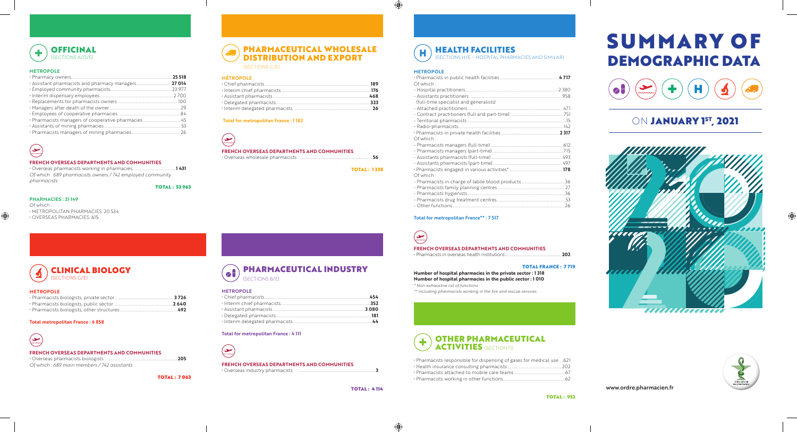# **METROPOLE**

# حڪا

 $\bigoplus$ 

# **FRENCH OVERSEAS DEPARTMENTS AND COMMUNITIES**

• Overseas pharmacists working in pharmacies...................................................**1 431** *Of which : 689 pharmacists owners / 742 employed community pharmacists*

TOTAL : 53 963

# **PHARMACIES : 21 149**

Of which : • METROPOLITAN PHARMACIES: 20 534 • OVERSEAS PHARMACIES: 615

| <b>MEINVEVLE</b> |     |
|------------------|-----|
|                  |     |
|                  |     |
|                  | 497 |

# **Total metropolitan France : 6 858**

# يڪ)

# **FRENCH OVERSEAS DEPARTMENTS AND COMMUNITIES**

| .205                                        |  |
|---------------------------------------------|--|
| Of which: 689 main members / 742 assistants |  |



# **MÉTROPOLE**

| 468 |
|-----|
|     |
|     |

يسا) **FRENCH OVERSEAS DEPARTMENTS AND COMMUNITIES** • Pharmacists in overseas health institutions :...............................................................................**202**

## **Total for metropolitan France : 1 182**



# **FRENCH OVERSEAS DEPARTMENTS AND COMMUNITIES** • Overseas wholesale pharmacists : ....................................................................................**56**

TOTAL : 1 238

# Н

## **METROPOLE**

 $\bigcirc$ 

| Of which:                              |  |
|----------------------------------------|--|
|                                        |  |
|                                        |  |
| (full-time specialist and generalists) |  |
|                                        |  |
|                                        |  |
|                                        |  |
|                                        |  |
|                                        |  |
| Of which:                              |  |
|                                        |  |
|                                        |  |
|                                        |  |
|                                        |  |
|                                        |  |
| Of which:                              |  |
|                                        |  |
|                                        |  |
|                                        |  |
|                                        |  |
|                                        |  |

# **METROPOLE** (SECTIONS G/E)

## **Total for metropolitan France\*\* : 7 517**

## TOTAL FRANCE : 7 719

**Number of hospital pharmacies in the private sector : 1 318 Number of hospital pharmacies in the public sector : 1 010** *\* Non-exhaustive list of functions*

**METROPOLE** *\*\* including pharmacists working in the fire and rescue services*

## **Total for metropolitan France : 4 111**



# **FRENCH OVERSEAS DEPARTMENTS AND COMMUNITIES**

• Overseas industry pharmacists : ..........................................................................................**3**

TOTAL : 4 114

⊕

| . Pharmacists responsible for dispensing of gases for medical use  621 |      |
|------------------------------------------------------------------------|------|
|                                                                        |      |
|                                                                        | - 67 |
|                                                                        | -62  |



CLINICAL BIOLOGY

# PHARMACEUTICAL WHOLESALE DISTRIBUTION AND EXPORT

(SECTIONS C/E)

HEALTH FACILITIES (SECTIONS H/E – HOSPITAL PHARMACIES AND SIMILAR)

## PHARMACEUTICAL INDUSTRY  $\bullet$ (SECTIONS B/E)



www.ordre.pharmacien.fr



# ON **JANUARY 1<sup>st</sup>, 2021**





 $\bigoplus$